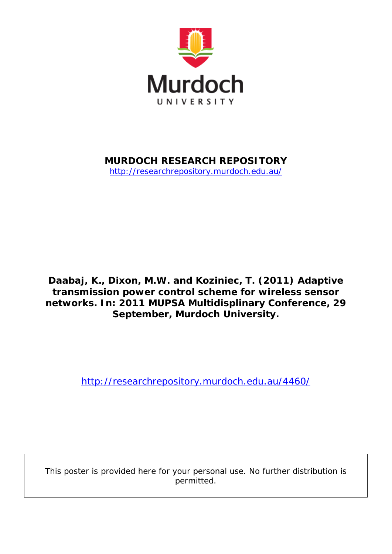

## **MURDOCH RESEARCH REPOSITORY**

<http://researchrepository.murdoch.edu.au/>

**Daabaj, K., Dixon, M.W. and Koziniec, T. (2011)** *Adaptive transmission power control scheme for wireless sensor networks.* **In: 2011 MUPSA Multidisplinary Conference, 29 September, Murdoch University.**

<http://researchrepository.murdoch.edu.au/4460/>

This poster is provided here for your personal use. No further distribution is permitted.